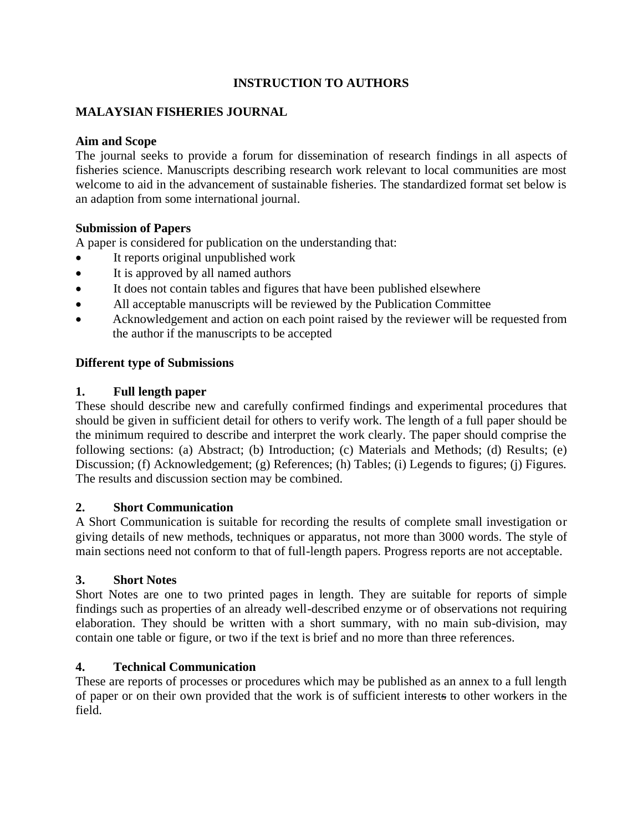# **INSTRUCTION TO AUTHORS**

# **MALAYSIAN FISHERIES JOURNAL**

### **Aim and Scope**

The journal seeks to provide a forum for dissemination of research findings in all aspects of fisheries science. Manuscripts describing research work relevant to local communities are most welcome to aid in the advancement of sustainable fisheries. The standardized format set below is an adaption from some international journal.

### **Submission of Papers**

A paper is considered for publication on the understanding that:

- It reports original unpublished work
- It is approved by all named authors
- It does not contain tables and figures that have been published elsewhere
- All acceptable manuscripts will be reviewed by the Publication Committee
- Acknowledgement and action on each point raised by the reviewer will be requested from the author if the manuscripts to be accepted

### **Different type of Submissions**

### **1. Full length paper**

These should describe new and carefully confirmed findings and experimental procedures that should be given in sufficient detail for others to verify work. The length of a full paper should be the minimum required to describe and interpret the work clearly. The paper should comprise the following sections: (a) Abstract; (b) Introduction; (c) Materials and Methods; (d) Results; (e) Discussion; (f) Acknowledgement; (g) References; (h) Tables; (i) Legends to figures; (j) Figures. The results and discussion section may be combined.

#### **2. Short Communication**

A Short Communication is suitable for recording the results of complete small investigation or giving details of new methods, techniques or apparatus, not more than 3000 words. The style of main sections need not conform to that of full-length papers. Progress reports are not acceptable.

## **3. Short Notes**

Short Notes are one to two printed pages in length. They are suitable for reports of simple findings such as properties of an already well-described enzyme or of observations not requiring elaboration. They should be written with a short summary, with no main sub-division, may contain one table or figure, or two if the text is brief and no more than three references.

## **4. Technical Communication**

These are reports of processes or procedures which may be published as an annex to a full length of paper or on their own provided that the work is of sufficient interests to other workers in the field.